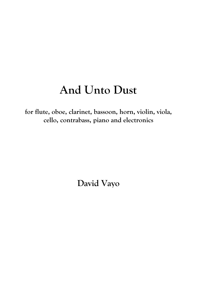# **And Unto Dust**

**for flute, oboe, clarinet, bassoon, horn, violin, viola, cello, contrabass, piano and electronics**

**David Vayo**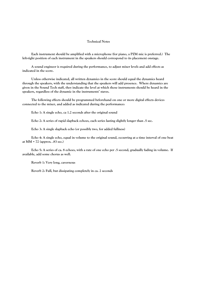### **Technical Notes**

**Each instrument should be amplified with a microphone (for piano, a PZM mic is preferred.) The left-right position of each instrument in the speakers should correspond to its placement onstage.**

**A sound engineer is required during the performance, to adjust mixer levels and add effects as indicated in the score.**

**Unless otherwise indicated, all written dynamics in the score should equal the dynamics heard through the speakers, with the understanding that the speakers will add presence. Where dynamics are given in the Sound Tech staff, they indicate the level at which those instruments should be heard in the speakers, regardless of the dynamic in the instruments' staves.** 

**The following effects should be programmed beforehand on one or more digital effects devices connected to the mixer, and added as indicated during the performance:**

**Echo 1: A single echo, ca 1.2 seconds after the original sound**

**Echo 2: A series of rapid slapback echoes, each series lasting slightly longer than .5 sec.**

**Echo 3: A single slapback echo (or possibly two, for added fullness)**

**Echo 4: A single echo, equal in volume to the original sound, occurring at a time interval of one beat at MM = 72 (approx. .83 sec.)**

**Echo 5: A series of ca. 8 echoes, with a rate of one echo per .5 second, gradually fading in volume. If available, add some chorus as well.**

**Reverb 1: Very long, cavernous**

**Reverb 2: Full, but dissipating completely in ca. 2 seconds**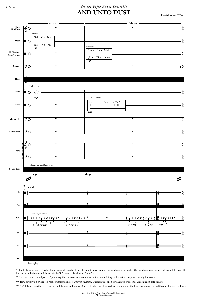

Copyright ©2014 David Vayo/Growth Medium Music All Rights Reserved

## **C Score** *fo r t h e F i ft h H o u se E n se m b le*

# **AND UNTO DUST** David Vayo (2014)

\* Chant-like whispers. 1-2 syllables per second; avoid a steady rhythm. Choose from given syllables in any order. Use syllables from the second row a little less often than those in the first row. Clarinetist: the "th" sound is hard (as in "thing").

\*\* Rub lower and central parts of palms together in a continuous circular motion, completing each rotation in approximately 2 seconds.

\*\*\* Bow directly on bridge to produce unpitched noise. Uneven rhythms, averaging ca. one bow change per second. Accent each note lightly.

\*\*\*\* With hands together as if praying, rub fingers and top part (only) of palms together vertically, alternating the hand that moves up and the one that moves down.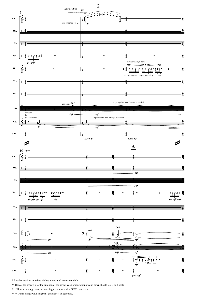

\* Bass harmonics: sounding pitches are notated in concert pitch.

\*\* Repeat the arpeggio for the duration of the arrow; each arpeggiation up and down should last 3 to 4 beats.

\*\*\* Blow air through horn, articulating each note with a "TFF" consonant.

\*\*\*\* Damp strings with fingers at end closest to keyboard.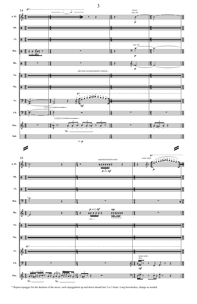





\* Repeat arpeggio for the duration of the arrow; each arpeggiation up and down should last 2 to 3 beats. Long bowstrokes, change as needed.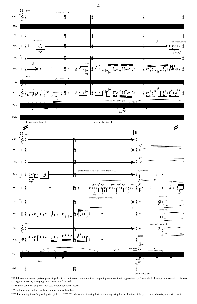

\* Rub lower and central parts of palms together in a continuous circular motion, completing each rotation in approximately 2 seconds. Include quicker, accented rotations at irregular intervals, averaging about one every 2 seconds.

\*\* Add one echo that begins ca. 1.2 sec. following original sound.

\*\*\* Pick up guitar pick in one hand, tuning fork in the other.

\*\*\*\* Pluck string forcefully with guitar pick. \*\*\*\*\* Touch handle of tuning fork to vibrating string for the duration of the given note; a buzzing tone will result.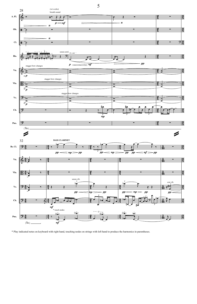

\* Play indicated notes on keyboard with right hand, touching nodes on strings with left hand to produce the harmonics in parentheses.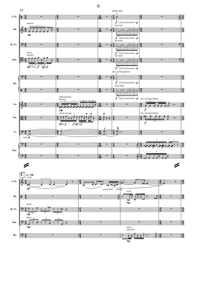

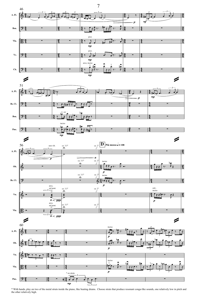







\* With hands, play on two of the metal struts inside the piano, like beating drums. Choose struts that produce resonant conga-like sounds, one relatively low in pitch and the other relatively high.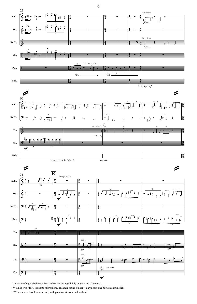



\* A series of rapid slapback echos, each series lasting slightly longer than 1/2 second.

\*\* Whispered "TS" sound into microphone. It should sound similar to a cymbal being hit with a drumstick.

\*\*\*  $\circ$  = stress; less than an accent, analogous to a stress on a downbeat.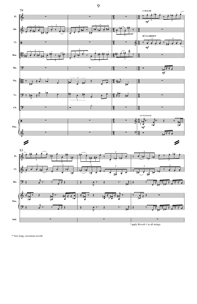

\* apply Reverb 1 to all strings

\* Very long, cavernous reverb.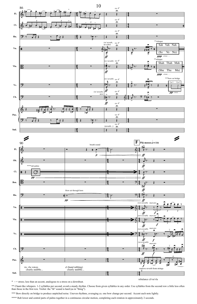

rebalance cl/vn/vla

 $* \sim$  = stress; less than an accent, analogous to a stress on a downbeat.

\*\* Chant-like whispers. 1-2 syllables per second; avoid a steady rhythm. Choose from given syllables in any order. Use syllables from the second row a little less often than those in the first row. Violist: the "th" sound is hard (as in "thing").

\*\*\* Bow directly on bridge to produce unpitched noise. Uneven rhythms, averaging ca. one bow change per second. Accent each note lightly.

\*\*\*\* Rub lower and central parts of palms together in a continuous circular motion, completing each rotation in approximately 2 seconds.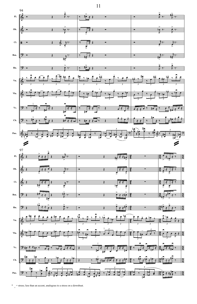



 $\epsilon$  = stress; less than an accent, analogous to a stress on a downbeat.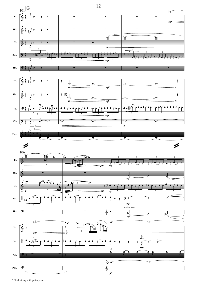

\* Pluck string with guitar pick.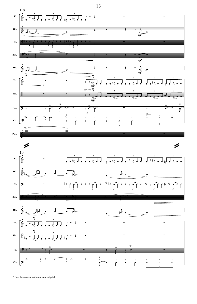



\* Bass harmonics written in concert pitch.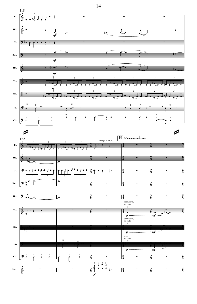



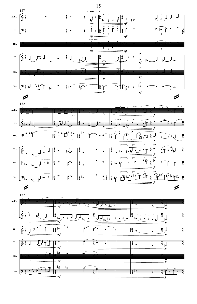



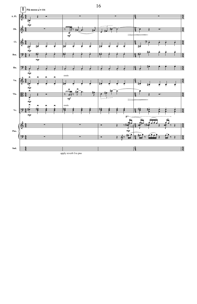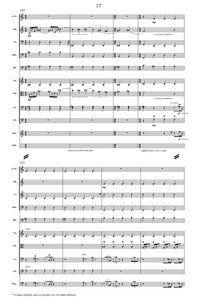



<sup>\*</sup> A single slapback echo (or possibly two, for added fullness).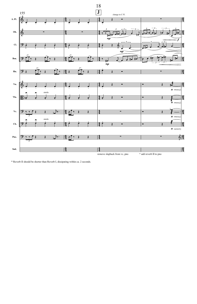

\* Reverb II should be shorter than Reverb I, dissipating within ca. 2 seconds.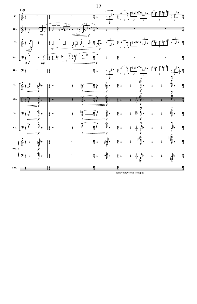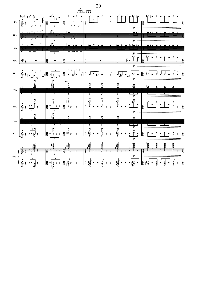

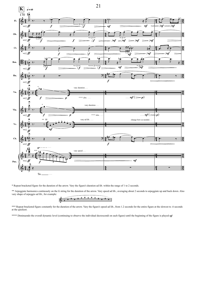

\*\*\* Repeat bracketed figure constantly for the duration of the arrow. Vary the figure's speed ad lib., from 1.2 seconds for the entire figure at the slowest to .6 seconds at the quickest.

\*\*\*\* Diminuendo the overall dynamic level (continuing to observe the individual decrescendi on each figure) until the beginning of the figure is played  $m f$ .



\* Repeat bracketed figure for the duration of the arrow. Vary the figure's duration ad lib. within the range of 1 to 2 seconds.

\*\* Arpeggiate harmonics continously on the G string for the duration of the arrow. Vary speed ad lib., averaging about 2 seconds to arpeggiate up and back down. Also vary shape of arpeggio ad lib., for example: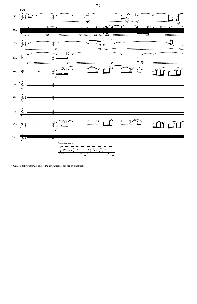

\* Occasionally substitute one of the given figures for the original figure.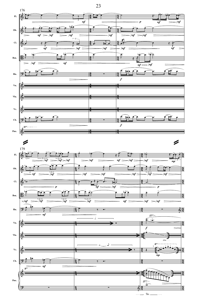

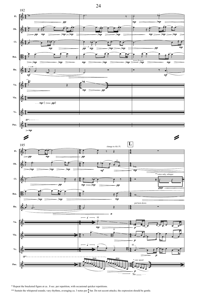4 \*\* Sustain the whispered sounds; vary rhythms, averaging ca. 3 notes per  $\frac{4}{4}$  bar. Do not accent attacks; the expression should be gentle.



24

\* Repeat the bracketed figure at ca. .8 sec. per repetition, with occasional quicker repetitions.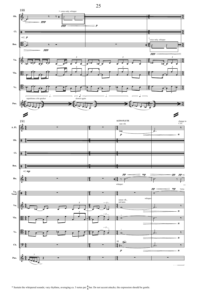4

 $\bf{H}$ 



**Bsn.**



 $\frac{4}{4}$ 



\* Sustain the whispered sounds; vary rhythms, averaging ca. 3 notes per  $\frac{4}{4}$  bar. Do not accent attacks; the expression should be gentle.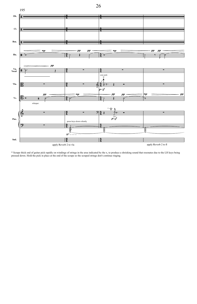

\* Scrape thick end of guitar pick rapidly on windings of strings in the area indicated by the x, to produce a shrieking sound that resonates due to the LH keys being pressed down. Hold the pick in place at the end of the scrape so the scraped strings don't continue ringing.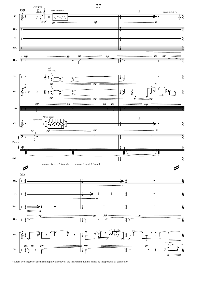![](_page_28_Figure_1.jpeg)

![](_page_28_Figure_0.jpeg)

\* Drum two fingers of each hand rapidly on body of the instrument. Let the hands be independent of each other.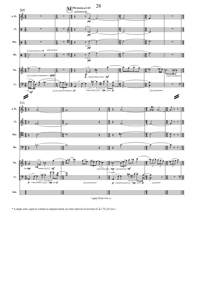![](_page_29_Figure_0.jpeg)

\* apply Echo 4 to vc

\* A single echo, equal in volume to original sound, at a time interval of one beat of  $\rightarrow$  = 72 (.83 sec.)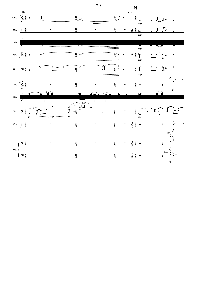![](_page_30_Figure_0.jpeg)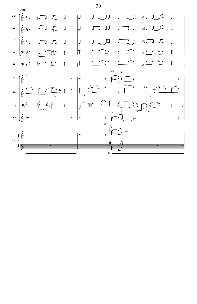![](_page_31_Figure_0.jpeg)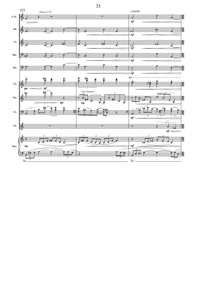![](_page_32_Figure_0.jpeg)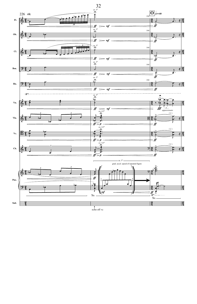![](_page_33_Figure_0.jpeg)

echo off vc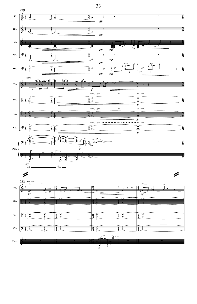![](_page_34_Figure_0.jpeg)

![](_page_34_Figure_2.jpeg)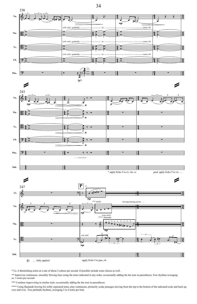![](_page_35_Figure_0.jpeg)

![](_page_35_Figure_1.jpeg)

\*\*\*\* Using flautando bowing for softly separated notes, play continuous, primarily scalar passages moving from the top to the bottom of the indicated scale and back up, over and over. Free parlando rhythms, averaging 2 to 4 notes per beat.

![](_page_35_Figure_2.jpeg)

apply Echo 5 to pno, cb

34

 $\lambda$  ... fully applied

\* Ca. 8 diminishing echos at a rate of about 2 echoes per second. If possible include some chorus as well.

\*\* Improvise continuous, smoothly flowing lines using the notes indicated in any order, occasionally adding the the note in parentheses. Free rhythms averaging ca. 3 notes per second.

\*\*\* Continue improvising in similar style, occasionally adding the the note in parentheses.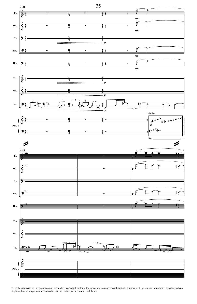![](_page_36_Figure_0.jpeg)

\* Freely improvise on the given notes in any order, occasionally adding the individual notes in parentheses and fragments of the scale in parentheses. Floating, rubato rhythms, hands independent of each other; ca. 5-8 notes per measure in each hand.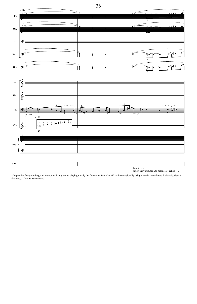![](_page_37_Figure_0.jpeg)

here to end:<br>subtly vary number and balance of echos ...

\* Improvise freely on the given harmonics in any order, playing mostly the five notes from C to G# while occasionally using those in parentheses. Leisurely, flowing rhythms, 5-7 notes per measure.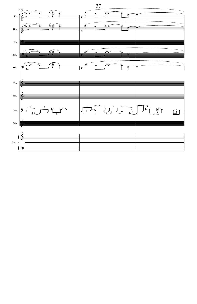![](_page_38_Figure_0.jpeg)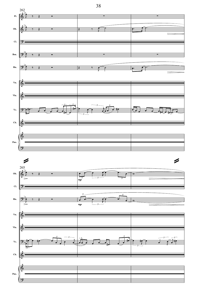![](_page_39_Figure_0.jpeg)

![](_page_39_Figure_1.jpeg)

![](_page_39_Figure_3.jpeg)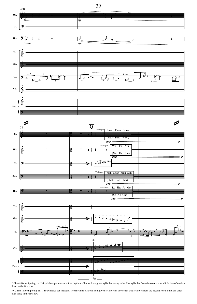![](_page_40_Figure_0.jpeg)

![](_page_40_Figure_1.jpeg)

![](_page_40_Figure_2.jpeg)

\* Chant-like whipering, ca. 2-4 syllables per measure, free rhythms. Choose from given syllables in any order. Use syllables from the second row a little less often than those in the first row.

\*\* Chant-like whipering, ca. 9-10 syllables per measure, free rhythms. Choose from given syllables in any order. Use syllables from the second row a little less often than those in the first row.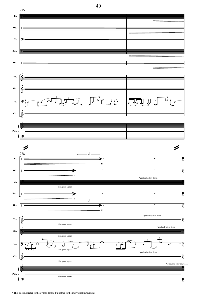![](_page_41_Figure_0.jpeg)

\* This does not refer to the overall tempo but rather to the individual instrument.